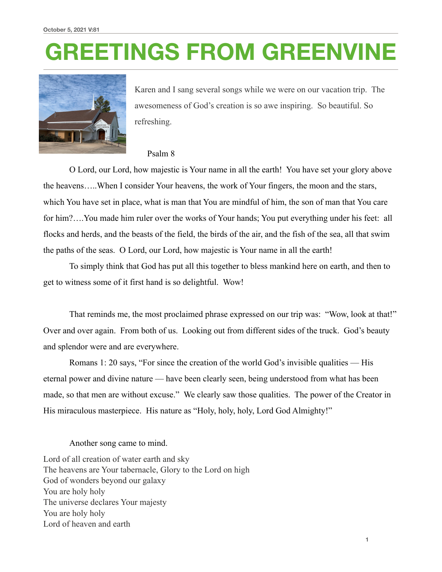# **GREETINGS FROM GREENVINE**



Karen and I sang several songs while we were on our vacation trip. The awesomeness of God's creation is so awe inspiring. So beautiful. So refreshing.

#### Psalm 8

 O Lord, our Lord, how majestic is Your name in all the earth! You have set your glory above the heavens…..When I consider Your heavens, the work of Your fingers, the moon and the stars, which You have set in place, what is man that You are mindful of him, the son of man that You care for him?….You made him ruler over the works of Your hands; You put everything under his feet: all flocks and herds, and the beasts of the field, the birds of the air, and the fish of the sea, all that swim the paths of the seas. O Lord, our Lord, how majestic is Your name in all the earth!

 To simply think that God has put all this together to bless mankind here on earth, and then to get to witness some of it first hand is so delightful. Wow!

 That reminds me, the most proclaimed phrase expressed on our trip was: "Wow, look at that!" Over and over again. From both of us. Looking out from different sides of the truck. God's beauty and splendor were and are everywhere.

 Romans 1: 20 says, "For since the creation of the world God's invisible qualities — His eternal power and divine nature — have been clearly seen, being understood from what has been made, so that men are without excuse." We clearly saw those qualities. The power of the Creator in His miraculous masterpiece. His nature as "Holy, holy, holy, Lord God Almighty!"

#### Another song came to mind.

Lord of all creation of water earth and sky The heavens are Your tabernacle, Glory to the Lord on high God of wonders beyond our galaxy You are holy holy The universe declares Your majesty You are holy holy Lord of heaven and earth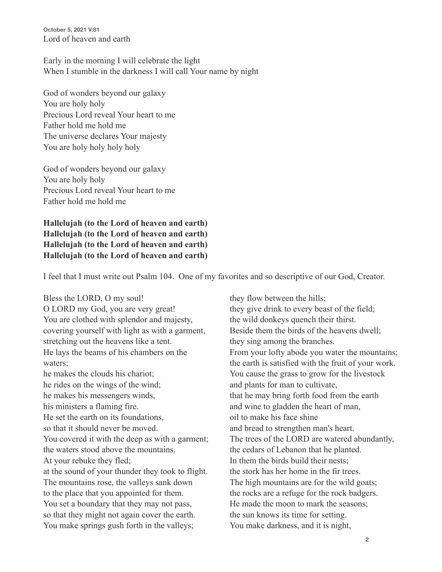**October 5, 2021 V:81** Lord of heaven and earth

Early in the morning I will celebrate the light When I stumble in the darkness I will call Your name by night

God of wonders beyond our galaxy You are holy holy Precious Lord reveal Your heart to me Father hold me hold me The universe declares Your majesty You are holy holy holy holy

God of wonders beyond our galaxy You are holy holy Precious Lord reveal Your heart to me Father hold me hold me

**Hallelujah (to the Lord of heaven and earth) Hallelujah (to the Lord of heaven and earth) Hallelujah (to the Lord of heaven and earth) Hallelujah (to the Lord of heaven and earth)** 

I feel that I must write out Psalm 104. One of my favorites and so descriptive of our God, Creator.

Bless the LORD, O my soul! O LORD my God, you are very great! You are clothed with splendor and majesty, covering yourself with light as with a garment, stretching out the heavens like a tent. He lays the beams of his chambers on the waters; he makes the clouds his chariot; he rides on the wings of the wind; he makes his messengers winds, his ministers a flaming fire. He set the earth on its foundations, so that it should never be moved. You covered it with the deep as with a garment; the waters stood above the mountains. At your rebuke they fled; at the sound of your thunder they took to flight. The mountains rose, the valleys sank down to the place that you appointed for them. You set a boundary that they may not pass, so that they might not again cover the earth. You make springs gush forth in the valleys;

they flow between the hills; they give drink to every beast of the field; the wild donkeys quench their thirst. Beside them the birds of the heavens dwell; they sing among the branches. From your lofty abode you water the mountains; the earth is satisfied with the fruit of your work. You cause the grass to grow for the livestock and plants for man to cultivate, that he may bring forth food from the earth and wine to gladden the heart of man, oil to make his face shine and bread to strengthen man's heart. The trees of the LORD are watered abundantly, the cedars of Lebanon that he planted. In them the birds build their nests; the stork has her home in the fir trees. The high mountains are for the wild goats; the rocks are a refuge for the rock badgers. He made the moon to mark the seasons; the sun knows its time for setting. You make darkness, and it is night,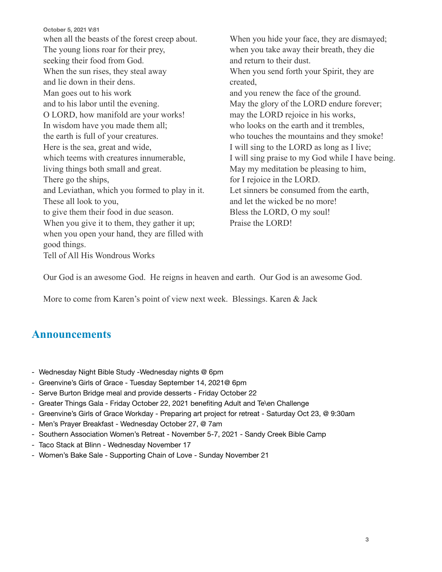**October 5, 2021 V:81** when all the beasts of the forest creep about. The young lions roar for their prey, seeking their food from God. When the sun rises, they steal away and lie down in their dens. Man goes out to his work and to his labor until the evening. O LORD, how manifold are your works! In wisdom have you made them all; the earth is full of your creatures. Here is the sea, great and wide, which teems with creatures innumerable, living things both small and great. There go the ships, and Leviathan, which you formed to play in it. These all look to you, to give them their food in due season. When you give it to them, they gather it up; when you open your hand, they are filled with good things. Tell of All His Wondrous Works

When you hide your face, they are dismayed; when you take away their breath, they die and return to their dust. When you send forth your Spirit, they are created, and you renew the face of the ground. May the glory of the LORD endure forever; may the LORD rejoice in his works, who looks on the earth and it trembles, who touches the mountains and they smoke! I will sing to the LORD as long as I live; I will sing praise to my God while I have being. May my meditation be pleasing to him, for I rejoice in the LORD. Let sinners be consumed from the earth, and let the wicked be no more! Bless the LORD, O my soul! Praise the LORD!

Our God is an awesome God. He reigns in heaven and earth. Our God is an awesome God.

More to come from Karen's point of view next week. Blessings. Karen & Jack

### **Announcements**

- Wednesday Night Bible Study -Wednesday nights @ 6pm
- Greenvine's Girls of Grace Tuesday September 14, 2021@ 6pm
- Serve Burton Bridge meal and provide desserts Friday October 22
- Greater Things Gala Friday October 22, 2021 benefiting Adult and Te\en Challenge
- Greenvine's Girls of Grace Workday Preparing art project for retreat Saturday Oct 23, @ 9:30am
- Men's Prayer Breakfast Wednesday October 27, @ 7am
- Southern Association Women's Retreat November 5-7, 2021 Sandy Creek Bible Camp
- Taco Stack at Blinn Wednesday November 17
- Women's Bake Sale Supporting Chain of Love Sunday November 21